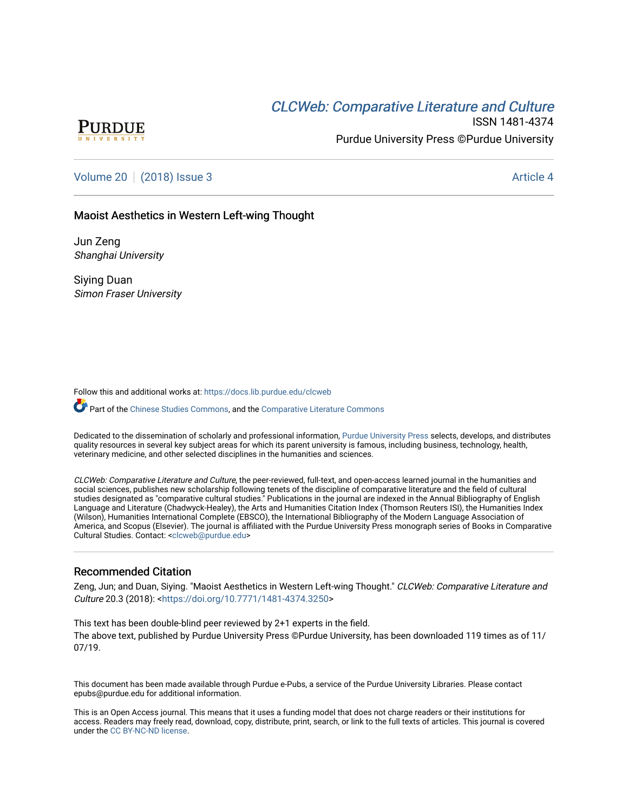# **CLCW[eb: Comparative Liter](https://docs.lib.purdue.edu/clcweb)ature and Culture**



ISSN 1481-4374 Purdue University Press ©Purdue University

## [Volume 20](https://docs.lib.purdue.edu/clcweb/vol20) | [\(2018\) Issue 3](https://docs.lib.purdue.edu/clcweb/vol20/iss3) Article 4

## Maoist Aesthetics in Western Left-wing Thought

Jun Zeng Shanghai University

Siying Duan Simon Fraser University

Follow this and additional works at: [https://docs.lib.purdue.edu/clcweb](https://docs.lib.purdue.edu/clcweb?utm_source=docs.lib.purdue.edu%2Fclcweb%2Fvol20%2Fiss3%2F4&utm_medium=PDF&utm_campaign=PDFCoverPages)

Part of the [Chinese Studies Commons,](http://network.bepress.com/hgg/discipline/1081?utm_source=docs.lib.purdue.edu%2Fclcweb%2Fvol20%2Fiss3%2F4&utm_medium=PDF&utm_campaign=PDFCoverPages) and the Comparative Literature Commons

Dedicated to the dissemination of scholarly and professional information, [Purdue University Press](http://www.thepress.purdue.edu/) selects, develops, and distributes quality resources in several key subject areas for which its parent university is famous, including business, technology, health, veterinary medicine, and other selected disciplines in the humanities and sciences.

CLCWeb: Comparative Literature and Culture, the peer-reviewed, full-text, and open-access learned journal in the humanities and social sciences, publishes new scholarship following tenets of the discipline of comparative literature and the field of cultural studies designated as "comparative cultural studies." Publications in the journal are indexed in the Annual Bibliography of English Language and Literature (Chadwyck-Healey), the Arts and Humanities Citation Index (Thomson Reuters ISI), the Humanities Index (Wilson), Humanities International Complete (EBSCO), the International Bibliography of the Modern Language Association of America, and Scopus (Elsevier). The journal is affiliated with the Purdue University Press monograph series of Books in Comparative Cultural Studies. Contact: [<clcweb@purdue.edu](mailto:clcweb@purdue.edu)>

## Recommended Citation

Zeng, Jun; and Duan, Siying. "Maoist Aesthetics in Western Left-wing Thought." CLCWeb: Comparative Literature and Culture 20.3 (2018): <[https://doi.org/10.7771/1481-4374.3250>](https://doi.org/10.7771/1481-4374.3250)

This text has been double-blind peer reviewed by 2+1 experts in the field. The above text, published by Purdue University Press ©Purdue University, has been downloaded 119 times as of 11/ 07/19.

This document has been made available through Purdue e-Pubs, a service of the Purdue University Libraries. Please contact epubs@purdue.edu for additional information.

This is an Open Access journal. This means that it uses a funding model that does not charge readers or their institutions for access. Readers may freely read, download, copy, distribute, print, search, or link to the full texts of articles. This journal is covered under the [CC BY-NC-ND license.](https://creativecommons.org/licenses/by-nc-nd/4.0/)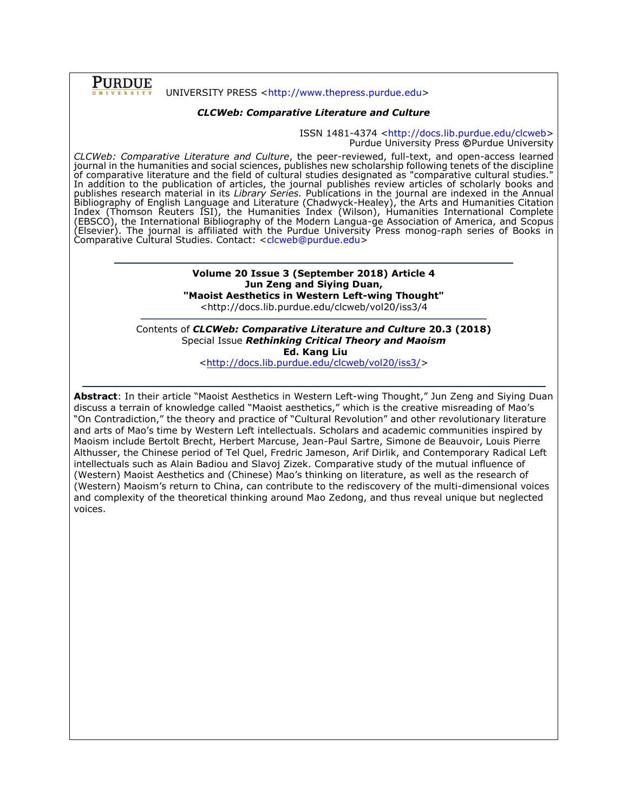Purdue

#### UNIVERSITY PRESS [<http://www.thepress.purdue.edu>](http://www.thepress.purdue.edu/)

#### *CLCWeb: Comparative Literature and Culture*

ISSN 1481-4374 [<http://docs.lib.purdue.edu/clcweb>](http://docs.lib.purdue.edu/clcweb) Purdue University Press **©**Purdue University

*CLCWeb: Comparative Literature and Culture*, the peer-reviewed, full-text, and open-access learned journal in the humanities and social sciences, publishes new scholarship following tenets of the discipline of comparative literature and the field of cultural studies designated as "comparative cultural studies." In addition to the publication of articles, the journal publishes review articles of scholarly books and publishes research material in its *Library Series.* Publications in the journal are indexed in the Annual Bibliography of English Language and Literature (Chadwyck-Healey), the Arts and Humanities Citation Index (Thomson Reuters ISI), the Humanities Index (Wilson), Humanities International Complete (EBSCO), the International Bibliography of the Modern Langua-ge Association of America, and Scopus (Elsevier). The journal is affiliated with the Purdue University Press monog-raph series of Books in Comparative Cultural Studies. Contact: [<clcweb@purdue.edu>](mailto:clcweb@purdue.edu)

> **Volume 20 Issue 3 (September 2018) Article 4 Jun Zeng and Siying Duan, "Maoist Aesthetics in Western Left-wing Thought"**

<http://docs.lib.purdue.edu/clcweb/vol20/iss3/4

Contents of *CLCWeb: Comparative Literature and Culture* **20.3 (2018)** Special Issue *Rethinking Critical Theory and Maoism* **Ed. Kang Liu**

[<http://docs.lib.purdue.edu/clcweb/vol20/iss3/>](http://docs.lib.purdue.edu/clcweb/vol20/iss3/)

**Abstract**: In their article "Maoist Aesthetics in Western Left-wing Thought," Jun Zeng and Siying Duan discuss a terrain of knowledge called "Maoist aesthetics," which is the creative misreading of Mao's "On Contradiction," the theory and practice of "Cultural Revolution" and other revolutionary literature and arts of Mao's time by Western Left intellectuals. Scholars and academic communities inspired by Maoism include Bertolt Brecht, Herbert Marcuse, Jean-Paul Sartre, Simone de Beauvoir, Louis Pierre Althusser, the Chinese period of Tel Quel, Fredric Jameson, Arif Dirlik, and Contemporary Radical Left intellectuals such as Alain Badiou and Slavoj Zizek. Comparative study of the mutual influence of (Western) Maoist Aesthetics and (Chinese) Mao's thinking on literature, as well as the research of (Western) Maoism's return to China, can contribute to the rediscovery of the multi-dimensional voices and complexity of the theoretical thinking around Mao Zedong, and thus reveal unique but neglected voices.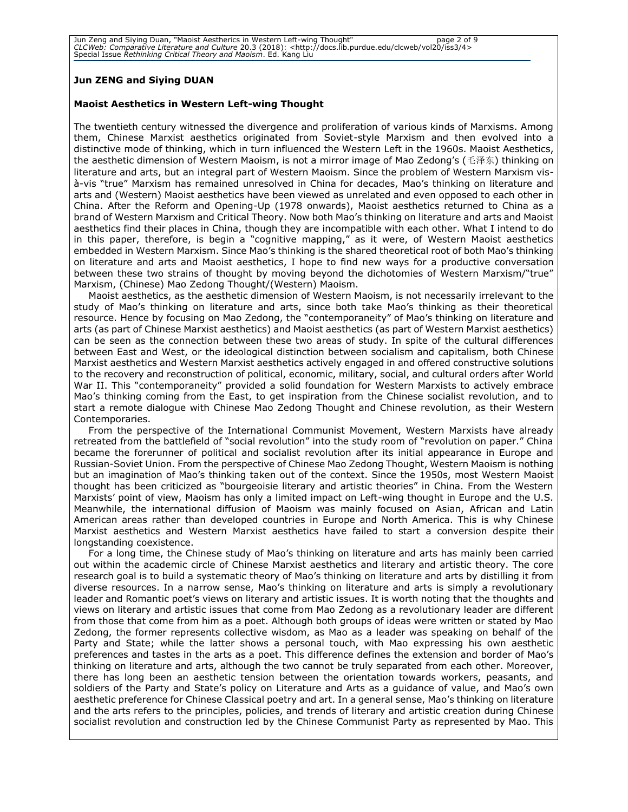Jun Zeng and Siying Duan, "Maoist Aestherics in Western Left-wing Thought" page 2 of 9 *CLCWeb: Comparative Literature and Culture* 20.3 (2018): <http://docs.lib.purdue.edu/clcweb/vol20/iss3/4><br>Special Issue *Rethinking Critical Theory and Maoism*. Ed. Kang Liu

### **Jun ZENG and Siying DUAN**

#### **Maoist Aesthetics in Western Left-wing Thought**

The twentieth century witnessed the divergence and proliferation of various kinds of Marxisms. Among them, Chinese Marxist aesthetics originated from Soviet-style Marxism and then evolved into a distinctive mode of thinking, which in turn influenced the Western Left in the 1960s. Maoist Aesthetics, the aesthetic dimension of Western Maoism, is not a mirror image of Mao Zedong's (毛泽东) thinking on literature and arts, but an integral part of Western Maoism. Since the problem of Western Marxism visà-vis "true" Marxism has remained unresolved in China for decades, Mao's thinking on literature and arts and (Western) Maoist aesthetics have been viewed as unrelated and even opposed to each other in China. After the Reform and Opening-Up (1978 onwards), Maoist aesthetics returned to China as a brand of Western Marxism and Critical Theory. Now both Mao's thinking on literature and arts and Maoist aesthetics find their places in China, though they are incompatible with each other. What I intend to do in this paper, therefore, is begin a "cognitive mapping," as it were, of Western Maoist aesthetics embedded in Western Marxism. Since Mao's thinking is the shared theoretical root of both Mao's thinking on literature and arts and Maoist aesthetics, I hope to find new ways for a productive conversation between these two strains of thought by moving beyond the dichotomies of Western Marxism/"true" Marxism, (Chinese) Mao Zedong Thought/(Western) Maoism.

Maoist aesthetics, as the aesthetic dimension of Western Maoism, is not necessarily irrelevant to the study of Mao's thinking on literature and arts, since both take Mao's thinking as their theoretical resource. Hence by focusing on Mao Zedong, the "contemporaneity" of Mao's thinking on literature and arts (as part of Chinese Marxist aesthetics) and Maoist aesthetics (as part of Western Marxist aesthetics) can be seen as the connection between these two areas of study. In spite of the cultural differences between East and West, or the ideological distinction between socialism and capitalism, both Chinese Marxist aesthetics and Western Marxist aesthetics actively engaged in and offered constructive solutions to the recovery and reconstruction of political, economic, military, social, and cultural orders after World War II. This "contemporaneity" provided a solid foundation for Western Marxists to actively embrace Mao's thinking coming from the East, to get inspiration from the Chinese socialist revolution, and to start a remote dialogue with Chinese Mao Zedong Thought and Chinese revolution, as their Western Contemporaries.

From the perspective of the International Communist Movement, Western Marxists have already retreated from the battlefield of "social revolution" into the study room of "revolution on paper." China became the forerunner of political and socialist revolution after its initial appearance in Europe and Russian-Soviet Union. From the perspective of Chinese Mao Zedong Thought, Western Maoism is nothing but an imagination of Mao's thinking taken out of the context. Since the 1950s, most Western Maoist thought has been criticized as "bourgeoisie literary and artistic theories" in China. From the Western Marxists' point of view, Maoism has only a limited impact on Left-wing thought in Europe and the U.S. Meanwhile, the international diffusion of Maoism was mainly focused on Asian, African and Latin American areas rather than developed countries in Europe and North America. This is why Chinese Marxist aesthetics and Western Marxist aesthetics have failed to start a conversion despite their longstanding coexistence.

For a long time, the Chinese study of Mao's thinking on literature and arts has mainly been carried out within the academic circle of Chinese Marxist aesthetics and literary and artistic theory. The core research goal is to build a systematic theory of Mao's thinking on literature and arts by distilling it from diverse resources. In a narrow sense, Mao's thinking on literature and arts is simply a revolutionary leader and Romantic poet's views on literary and artistic issues. It is worth noting that the thoughts and views on literary and artistic issues that come from Mao Zedong as a revolutionary leader are different from those that come from him as a poet. Although both groups of ideas were written or stated by Mao Zedong, the former represents collective wisdom, as Mao as a leader was speaking on behalf of the Party and State; while the latter shows a personal touch, with Mao expressing his own aesthetic preferences and tastes in the arts as a poet. This difference defines the extension and border of Mao's thinking on literature and arts, although the two cannot be truly separated from each other. Moreover, there has long been an aesthetic tension between the orientation towards workers, peasants, and soldiers of the Party and State's policy on Literature and Arts as a guidance of value, and Mao's own aesthetic preference for Chinese Classical poetry and art. In a general sense, Mao's thinking on literature and the arts refers to the principles, policies, and trends of literary and artistic creation during Chinese socialist revolution and construction led by the Chinese Communist Party as represented by Mao. This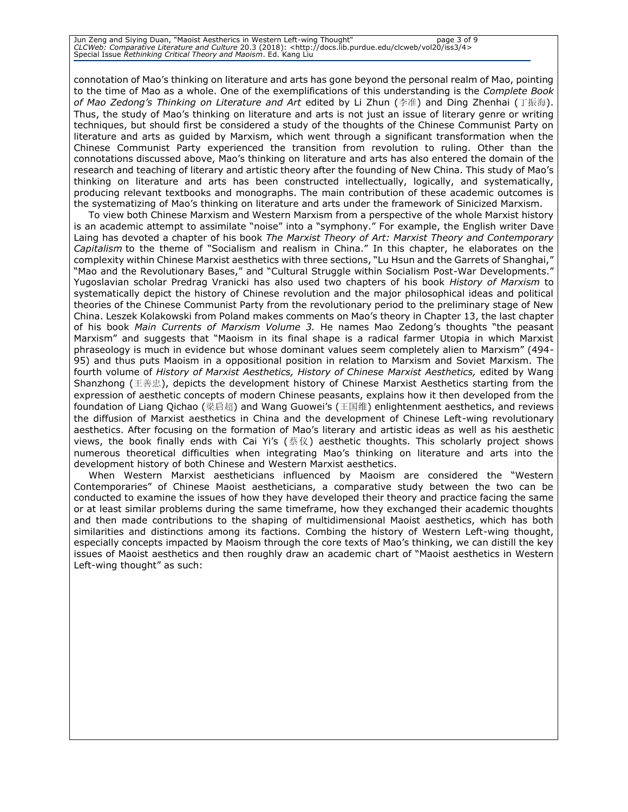Jun Zeng and Siying Duan, "Maoist Aestherics in Western Left-wing Thought" page 3 of 9 *CLCWeb: Comparative Literature and Culture* 20.3 (2018): <http://docs.lib.purdue.edu/clcweb/vol20/iss3/4><br>Special Issue *Rethinking Critical Theory and Maoism*. Ed. Kang Liu

connotation of Mao's thinking on literature and arts has gone beyond the personal realm of Mao, pointing to the time of Mao as a whole. One of the exemplifications of this understanding is the *Complete Book of Mao Zedong's Thinking on Literature and Art* edited by Li Zhun (李准) and Ding Zhenhai (丁振海). Thus, the study of Mao's thinking on literature and arts is not just an issue of literary genre or writing techniques, but should first be considered a study of the thoughts of the Chinese Communist Party on literature and arts as guided by Marxism, which went through a significant transformation when the Chinese Communist Party experienced the transition from revolution to ruling. Other than the connotations discussed above, Mao's thinking on literature and arts has also entered the domain of the research and teaching of literary and artistic theory after the founding of New China. This study of Mao's thinking on literature and arts has been constructed intellectually, logically, and systematically, producing relevant textbooks and monographs. The main contribution of these academic outcomes is the systematizing of Mao's thinking on literature and arts under the framework of Sinicized Marxism.

To view both Chinese Marxism and Western Marxism from a perspective of the whole Marxist history is an academic attempt to assimilate "noise" into a "symphony." For example, the English writer Dave Laing has devoted a chapter of his book *The Marxist Theory of Art: Marxist Theory and Contemporary Capitalism* to the theme of "Socialism and realism in China." In this chapter, he elaborates on the complexity within Chinese Marxist aesthetics with three sections, "Lu Hsun and the Garrets of Shanghai," "Mao and the Revolutionary Bases," and "Cultural Struggle within Socialism Post-War Developments." Yugoslavian scholar Predrag Vranicki has also used two chapters of his book *History of Marxism* to systematically depict the history of Chinese revolution and the major philosophical ideas and political theories of the Chinese Communist Party from the revolutionary period to the preliminary stage of New China. Leszek Kolakowski from Poland makes comments on Mao's theory in Chapter 13, the last chapter of his book *Main Currents of Marxism Volume 3.* He names Mao Zedong's thoughts "the peasant Marxism" and suggests that "Maoism in its final shape is a radical farmer Utopia in which Marxist phraseology is much in evidence but whose dominant values seem completely alien to Marxism" (494- 95) and thus puts Maoism in a oppositional position in relation to Marxism and Soviet Marxism. The fourth volume of *History of Marxist Aesthetics, History of Chinese Marxist Aesthetics,* edited by Wang Shanzhong (王善忠), depicts the development history of Chinese Marxist Aesthetics starting from the expression of aesthetic concepts of modern Chinese peasants, explains how it then developed from the foundation of Liang Qichao (梁启超) and Wang Guowei's (王国维) enlightenment aesthetics, and reviews the diffusion of Marxist aesthetics in China and the development of Chinese Left-wing revolutionary aesthetics. After focusing on the formation of Mao's literary and artistic ideas as well as his aesthetic views, the book finally ends with Cai Yi's (蔡仪) aesthetic thoughts. This scholarly project shows numerous theoretical difficulties when integrating Mao's thinking on literature and arts into the development history of both Chinese and Western Marxist aesthetics.

When Western Marxist aestheticians influenced by Maoism are considered the "Western Contemporaries" of Chinese Maoist aestheticians, a comparative study between the two can be conducted to examine the issues of how they have developed their theory and practice facing the same or at least similar problems during the same timeframe, how they exchanged their academic thoughts and then made contributions to the shaping of multidimensional Maoist aesthetics, which has both similarities and distinctions among its factions. Combing the history of Western Left-wing thought, especially concepts impacted by Maoism through the core texts of Mao's thinking, we can distill the key issues of Maoist aesthetics and then roughly draw an academic chart of "Maoist aesthetics in Western Left-wing thought" as such: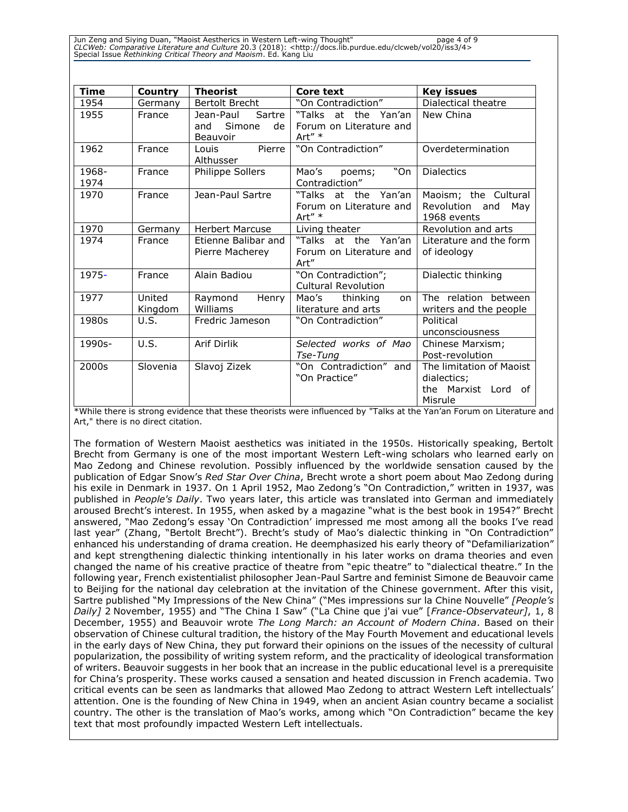Jun Zeng and Siying Duan, "Maoist Aestherics in Western Left-wing Thought"<br>CLCWeb: Comparative Literature and Culture 20.3 (2018): <http://docs.lib.purdue.edu/clcweb/vol20/iss3/4><br>Special Issue *Rethinking Critical Theory* 

| <b>Time</b>   | Country           | <b>Theorist</b>                                        | Core text                                                   | <b>Key issues</b>                                                         |
|---------------|-------------------|--------------------------------------------------------|-------------------------------------------------------------|---------------------------------------------------------------------------|
| 1954          | Germany           | <b>Bertolt Brecht</b>                                  | "On Contradiction"                                          | Dialectical theatre                                                       |
| 1955          | France            | Jean-Paul<br>Sartre<br>Simone<br>and<br>de<br>Beauvoir | "Talks at the Yan'an<br>Forum on Literature and<br>Art" $*$ | New China                                                                 |
| 1962          | France            | Pierre<br>Louis<br>Althusser                           | "On Contradiction"                                          | Overdetermination                                                         |
| 1968-<br>1974 | France            | Philippe Sollers                                       | "On<br>Mao's<br>poems;<br>Contradiction"                    | <b>Dialectics</b>                                                         |
| 1970          | France            | Jean-Paul Sartre                                       | "Talks at the Yan'an<br>Forum on Literature and<br>Art" $*$ | Maoism; the Cultural<br>Revolution and<br>Mav<br>1968 events              |
| 1970          | Germany           | <b>Herbert Marcuse</b>                                 | Living theater                                              | Revolution and arts                                                       |
| 1974          | France            | Etienne Balibar and<br>Pierre Macherey                 | "Talks at the Yan'an<br>Forum on Literature and<br>Art"     | Literature and the form<br>of ideology                                    |
| 1975-         | France            | Alain Badiou                                           | "On Contradiction";<br><b>Cultural Revolution</b>           | Dialectic thinking                                                        |
| 1977          | United<br>Kingdom | Raymond<br>Henry<br>Williams                           | Mao's<br>thinking<br>on.<br>literature and arts             | The relation between<br>writers and the people                            |
| 1980s         | U.S.              | Fredric Jameson                                        | "On Contradiction"                                          | Political<br>unconsciousness                                              |
| 1990s-        | U.S.              | Arif Dirlik                                            | Selected works of Mao<br>Tse-Tung                           | Chinese Marxism;<br>Post-revolution                                       |
| 2000s         | Slovenia          | Slavoj Zizek                                           | "On Contradiction" and<br>"On Practice"                     | The limitation of Maoist<br>dialectics;<br>the Marxist Lord of<br>Misrule |

\*While there is strong evidence that these theorists were influenced by "Talks at the Yan'an Forum on Literature and Art," there is no direct citation.

The formation of Western Maoist aesthetics was initiated in the 1950s. Historically speaking, Bertolt Brecht from Germany is one of the most important Western Left-wing scholars who learned early on Mao Zedong and Chinese revolution. Possibly influenced by the worldwide sensation caused by the publication of Edgar Snow's *Red Star Over China*, Brecht wrote a short poem about Mao Zedong during his exile in Denmark in 1937. On 1 April 1952, Mao Zedong's "On Contradiction," written in 1937, was published in *People's Daily*. Two years later, this article was translated into German and immediately aroused Brecht's interest. In 1955, when asked by a magazine "what is the best book in 1954?" Brecht answered, "Mao Zedong's essay 'On Contradiction' impressed me most among all the books I've read last year" (Zhang, "Bertolt Brecht"). Brecht's study of Mao's dialectic thinking in "On Contradiction" enhanced his understanding of drama creation. He deemphasized his early theory of "Defamiliarization" and kept strengthening dialectic thinking intentionally in his later works on drama theories and even changed the name of his creative practice of theatre from "epic theatre" to "dialectical theatre." In the following year, French existentialist philosopher Jean-Paul Sartre and feminist Simone de Beauvoir came to Beijing for the national day celebration at the invitation of the Chinese government. After this visit, Sartre published "My Impressions of the New China" ("Mes impressions sur la Chine Nouvelle" *[People's Daily]* 2 November, 1955) and "The China I Saw" ("La Chine que j'ai vue" [*France-Observateur]*, 1, 8 December, 1955) and Beauvoir wrote *The Long March: an Account of Modern China*. Based on their observation of Chinese cultural tradition, the history of the May Fourth Movement and educational levels in the early days of New China, they put forward their opinions on the issues of the necessity of cultural popularization, the possibility of writing system reform, and the practicality of ideological transformation of writers. Beauvoir suggests in her book that an increase in the public educational level is a prerequisite for China's prosperity. These works caused a sensation and heated discussion in French academia. Two critical events can be seen as landmarks that allowed Mao Zedong to attract Western Left intellectuals' attention. One is the founding of New China in 1949, when an ancient Asian country became a socialist country. The other is the translation of Mao's works, among which "On Contradiction" became the key text that most profoundly impacted Western Left intellectuals.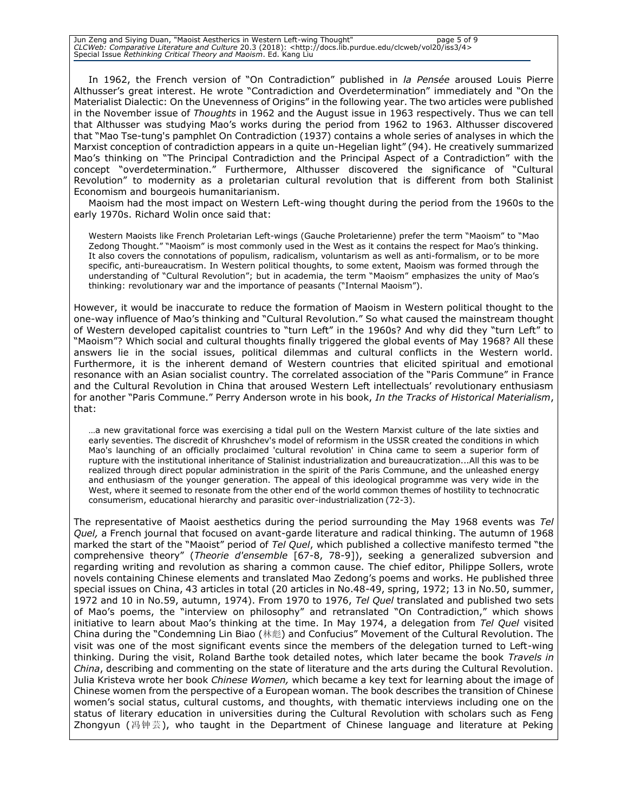Jun Zeng and Siying Duan, "Maoist Aestherics in Western Left-wing Thought" page 5 of 9 *CLCWeb: Comparative Literature and Culture* 20.3 (2018): <http://docs.lib.purdue.edu/clcweb/vol20/iss3/4><br>Special Issue *Rethinking Critical Theory and Maoism*. Ed. Kang Liu

In 1962, the French version of "On Contradiction" published in *la Pensée* aroused Louis Pierre Althusser's great interest. He wrote "Contradiction and Overdetermination" immediately and "On the Materialist Dialectic: On the Unevenness of Origins" in the following year. The two articles were published in the November issue of *Thoughts* in 1962 and the August issue in 1963 respectively. Thus we can tell that Althusser was studying Mao's works during the period from 1962 to 1963. Althusser discovered that "Mao Tse-tung's pamphlet On Contradiction (1937) contains a whole series of analyses in which the Marxist conception of contradiction appears in a quite un-Hegelian light" (94). He creatively summarized Mao's thinking on "The Principal Contradiction and the Principal Aspect of a Contradiction" with the concept "overdetermination." Furthermore, Althusser discovered the significance of "Cultural Revolution" to modernity as a proletarian cultural revolution that is different from both Stalinist Economism and bourgeois humanitarianism.

Maoism had the most impact on Western Left-wing thought during the period from the 1960s to the early 1970s. Richard Wolin once said that:

Western Maoists like French Proletarian Left-wings (Gauche Proletarienne) prefer the term "Maoism" to "Mao Zedong Thought." "Maoism" is most commonly used in the West as it contains the respect for Mao's thinking. It also covers the connotations of populism, radicalism, voluntarism as well as anti-formalism, or to be more specific, anti-bureaucratism. In Western political thoughts, to some extent, Maoism was formed through the understanding of "Cultural Revolution"; but in academia, the term "Maoism" emphasizes the unity of Mao's thinking: revolutionary war and the importance of peasants ("Internal Maoism").

However, it would be inaccurate to reduce the formation of Maoism in Western political thought to the one-way influence of Mao's thinking and "Cultural Revolution." So what caused the mainstream thought of Western developed capitalist countries to "turn Left" in the 1960s? And why did they "turn Left" to "Maoism"? Which social and cultural thoughts finally triggered the global events of May 1968? All these answers lie in the social issues, political dilemmas and cultural conflicts in the Western world. Furthermore, it is the inherent demand of Western countries that elicited spiritual and emotional resonance with an Asian socialist country. The correlated association of the "Paris Commune" in France and the Cultural Revolution in China that aroused Western Left intellectuals' revolutionary enthusiasm for another "Paris Commune." Perry Anderson wrote in his book, *In the Tracks of Historical Materialism*, that:

…a new gravitational force was exercising a tidal pull on the Western Marxist culture of the late sixties and early seventies. The discredit of Khrushchev's model of reformism in the USSR created the conditions in which Mao's launching of an officially proclaimed 'cultural revolution' in China came to seem a superior form of rupture with the institutional inheritance of Stalinist industrialization and bureaucratization...All this was to be realized through direct popular administration in the spirit of the Paris Commune, and the unleashed energy and enthusiasm of the younger generation. The appeal of this ideological programme was very wide in the West, where it seemed to resonate from the other end of the world common themes of hostility to technocratic consumerism, educational hierarchy and parasitic over-industrialization (72-3).

The representative of Maoist aesthetics during the period surrounding the May 1968 events was *Tel Quel,* a French journal that focused on avant-garde literature and radical thinking. The autumn of 1968 marked the start of the "Maoist" period of *Tel Quel*, which published a collective manifesto termed "the comprehensive theory" (*Theorie d'ensemble* [67-8, 78-9]), seeking a generalized subversion and regarding writing and revolution as sharing a common cause. The chief editor, Philippe Sollers, wrote novels containing Chinese elements and translated Mao Zedong's poems and works. He published three special issues on China, 43 articles in total (20 articles in No.48-49, spring, 1972; 13 in No.50, summer, 1972 and 10 in No.59, autumn, 1974). From 1970 to 1976, *Tel Quel* translated and published two sets of Mao's poems, the "interview on philosophy" and retranslated "On Contradiction," which shows initiative to learn about Mao's thinking at the time. In May 1974, a delegation from *Tel Quel* visited China during the "Condemning Lin Biao (林彪) and Confucius" Movement of the Cultural Revolution. The visit was one of the most significant events since the members of the delegation turned to Left-wing thinking. During the visit, Roland Barthe took detailed notes, which later became the book *Travels in China*, describing and commenting on the state of literature and the arts during the Cultural Revolution. Julia Kristeva wrote her book *Chinese Women,* which became a key text for learning about the image of Chinese women from the perspective of a European woman. The book describes the transition of Chinese women's social status, cultural customs, and thoughts, with thematic interviews including one on the status of literary education in universities during the Cultural Revolution with scholars such as Feng Zhongyun (冯钟芸), who taught in the Department of Chinese language and literature at Peking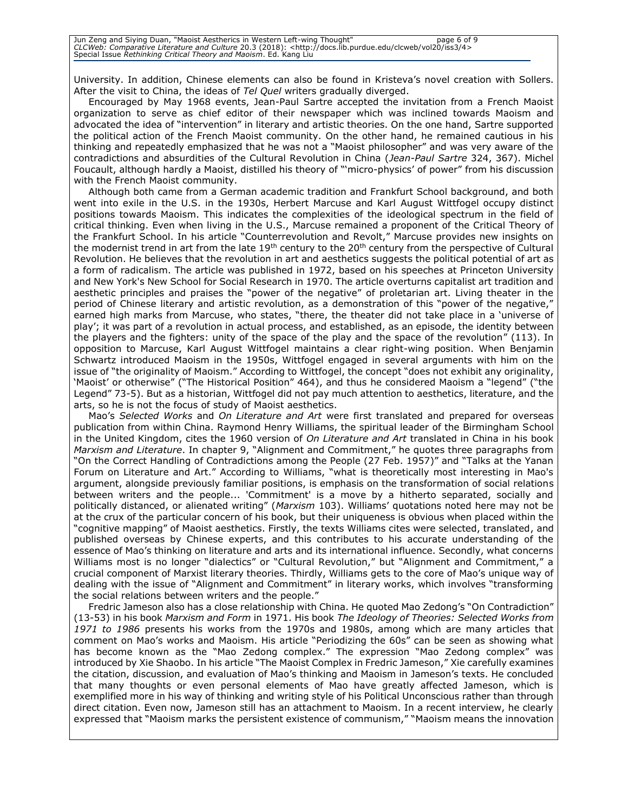Jun Zeng and Siying Duan, "Maoist Aestherics in Western Left-wing Thought" page 6 of 9 *CLCWeb: Comparative Literature and Culture* 20.3 (2018): <http://docs.lib.purdue.edu/clcweb/vol20/iss3/4><br>Special Issue *Rethinking Critical Theory and Maoism*. Ed. Kang Liu

University. In addition, Chinese elements can also be found in Kristeva's novel creation with Sollers. After the visit to China, the ideas of *Tel Quel* writers gradually diverged.

Encouraged by May 1968 events, Jean-Paul Sartre accepted the invitation from a French Maoist organization to serve as chief editor of their newspaper which was inclined towards Maoism and advocated the idea of "intervention" in literary and artistic theories. On the one hand, Sartre supported the political action of the French Maoist community. On the other hand, he remained cautious in his thinking and repeatedly emphasized that he was not a "Maoist philosopher" and was very aware of the contradictions and absurdities of the Cultural Revolution in China (*Jean-Paul Sartre* 324, 367). Michel Foucault, although hardly a Maoist, distilled his theory of "'micro-physics' of power" from his discussion with the French Maoist community.

Although both came from a German academic tradition and Frankfurt School background, and both went into exile in the U.S. in the 1930s, Herbert Marcuse and Karl August Wittfogel occupy distinct positions towards Maoism. This indicates the complexities of the ideological spectrum in the field of critical thinking. Even when living in the U.S., Marcuse remained a proponent of the Critical Theory of the Frankfurt School. In his article "Counterrevolution and Revolt," Marcuse provides new insights on the modernist trend in art from the late  $19<sup>th</sup>$  century to the  $20<sup>th</sup>$  century from the perspective of Cultural Revolution. He believes that the revolution in art and aesthetics suggests the political potential of art as a form of radicalism. The article was published in 1972, based on his speeches at Princeton University and New York's New School for Social Research in 1970. The article overturns capitalist art tradition and aesthetic principles and praises the "power of the negative" of proletarian art. Living theater in the period of Chinese literary and artistic revolution, as a demonstration of this "power of the negative," earned high marks from Marcuse, who states, "there, the theater did not take place in a 'universe of play'; it was part of a revolution in actual process, and established, as an episode, the identity between the players and the fighters: unity of the space of the play and the space of the revolution" (113). In opposition to Marcuse, Karl August Wittfogel maintains a clear right-wing position. When Benjamin Schwartz introduced Maoism in the 1950s, Wittfogel engaged in several arguments with him on the issue of "the originality of Maoism." According to Wittfogel, the concept "does not exhibit any originality, 'Maoist' or otherwise" ("The Historical Position" 464), and thus he considered Maoism a "legend" ("the Legend" 73-5). But as a historian, Wittfogel did not pay much attention to aesthetics, literature, and the arts, so he is not the focus of study of Maoist aesthetics.

Mao's *Selected Works* and *On Literature and Art* were first translated and prepared for overseas publication from within China. Raymond Henry Williams, the spiritual leader of the Birmingham School in the United Kingdom, cites the 1960 version of *On Literature and Art* translated in China in his book *Marxism and Literature*. In chapter 9, "Alignment and Commitment," he quotes three paragraphs from "On the Correct Handling of Contradictions among the People (27 Feb. 1957)" and "Talks at the Yanan Forum on Literature and Art." According to Williams, "what is theoretically most interesting in Mao's argument, alongside previously familiar positions, is emphasis on the transformation of social relations between writers and the people... 'Commitment' is a move by a hitherto separated, socially and politically distanced, or alienated writing" (*Marxism* 103). Williams' quotations noted here may not be at the crux of the particular concern of his book, but their uniqueness is obvious when placed within the "cognitive mapping" of Maoist aesthetics. Firstly, the texts Williams cites were selected, translated, and published overseas by Chinese experts, and this contributes to his accurate understanding of the essence of Mao's thinking on literature and arts and its international influence. Secondly, what concerns Williams most is no longer "dialectics" or "Cultural Revolution," but "Alignment and Commitment," a crucial component of Marxist literary theories. Thirdly, Williams gets to the core of Mao's unique way of dealing with the issue of "Alignment and Commitment" in literary works, which involves "transforming the social relations between writers and the people."

Fredric Jameson also has a close relationship with China. He quoted Mao Zedong's "On Contradiction" (13-53) in his book *Marxism and Form* in 1971. His book *The Ideology of Theories: Selected Works from 1971 to 1986* presents his works from the 1970s and 1980s, among which are many articles that comment on Mao's works and Maoism. His article "Periodizing the 60s" can be seen as showing what has become known as the "Mao Zedong complex." The expression "Mao Zedong complex" was introduced by Xie Shaobo. In his article "The Maoist Complex in Fredric Jameson," Xie carefully examines the citation, discussion, and evaluation of Mao's thinking and Maoism in Jameson's texts. He concluded that many thoughts or even personal elements of Mao have greatly affected Jameson, which is exemplified more in his way of thinking and writing style of his Political Unconscious rather than through direct citation. Even now, Jameson still has an attachment to Maoism. In a recent interview, he clearly expressed that "Maoism marks the persistent existence of communism," "Maoism means the innovation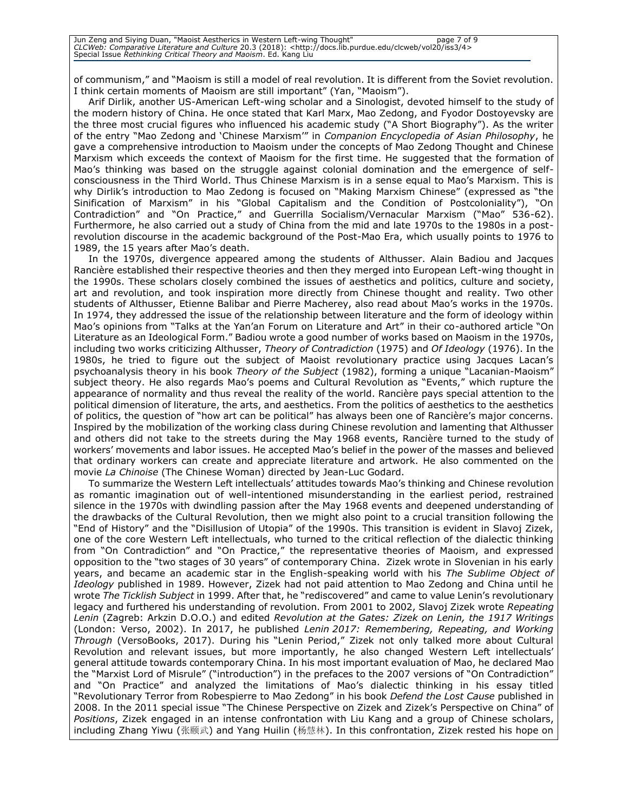Jun Zeng and Siying Duan, "Maoist Aestherics in Western Left-wing Thought" page 7 of 9 *CLCWeb: Comparative Literature and Culture* 20.3 (2018): <http://docs.lib.purdue.edu/clcweb/vol20/iss3/4><br>Special Issue *Rethinking Critical Theory and Maoism*. Ed. Kang Liu

of communism," and "Maoism is still a model of real revolution. It is different from the Soviet revolution. I think certain moments of Maoism are still important" (Yan, "Maoism").

Arif Dirlik, another US-American Left-wing scholar and a Sinologist, devoted himself to the study of the modern history of China. He once stated that Karl Marx, Mao Zedong, and Fyodor Dostoyevsky are the three most crucial figures who influenced his academic study ("A Short Biography"). As the writer of the entry "Mao Zedong and 'Chinese Marxism'" in *Companion Encyclopedia of Asian Philosophy*, he gave a comprehensive introduction to Maoism under the concepts of Mao Zedong Thought and Chinese Marxism which exceeds the context of Maoism for the first time. He suggested that the formation of Mao's thinking was based on the struggle against colonial domination and the emergence of selfconsciousness in the Third World. Thus Chinese Marxism is in a sense equal to Mao's Marxism. This is why Dirlik's introduction to Mao Zedong is focused on "Making Marxism Chinese" (expressed as "the Sinification of Marxism" in his "Global Capitalism and the Condition of Postcoloniality"), "On Contradiction" and "On Practice," and Guerrilla Socialism/Vernacular Marxism ("Mao" 536-62). Furthermore, he also carried out a study of China from the mid and late 1970s to the 1980s in a postrevolution discourse in the academic background of the Post-Mao Era, which usually points to 1976 to 1989, the 15 years after Mao's death.

In the 1970s, divergence appeared among the students of Althusser. Alain Badiou and Jacques Rancière established their respective theories and then they merged into European Left-wing thought in the 1990s. These scholars closely combined the issues of aesthetics and politics, culture and society, art and revolution, and took inspiration more directly from Chinese thought and reality. Two other students of Althusser, Etienne Balibar and Pierre Macherey, also read about Mao's works in the 1970s. In 1974, they addressed the issue of the relationship between literature and the form of ideology within Mao's opinions from "Talks at the Yan'an Forum on Literature and Art" in their co-authored article "On Literature as an Ideological Form." Badiou wrote a good number of works based on Maoism in the 1970s, including two works criticizing Althusser, *Theory of Contradiction* (1975) and *Of Ideology* (1976). In the 1980s, he tried to figure out the subject of Maoist revolutionary practice using Jacques Lacan's psychoanalysis theory in his book *Theory of the Subject* (1982), forming a unique "Lacanian-Maoism" subject theory. He also regards Mao's poems and Cultural Revolution as "Events," which rupture the appearance of normality and thus reveal the reality of the world. Rancière pays special attention to the political dimension of literature, the arts, and aesthetics. From the politics of aesthetics to the aesthetics of politics, the question of "how art can be political" has always been one of Rancière's major concerns. Inspired by the mobilization of the working class during Chinese revolution and lamenting that Althusser and others did not take to the streets during the May 1968 events, Rancière turned to the study of workers' movements and labor issues. He accepted Mao's belief in the power of the masses and believed that ordinary workers can create and appreciate literature and artwork. He also commented on the movie *La Chinoise* (The Chinese Woman) directed by Jean-Luc Godard.

To summarize the Western Left intellectuals' attitudes towards Mao's thinking and Chinese revolution as romantic imagination out of well-intentioned misunderstanding in the earliest period, restrained silence in the 1970s with dwindling passion after the May 1968 events and deepened understanding of the drawbacks of the Cultural Revolution, then we might also point to a crucial transition following the "End of History" and the "Disillusion of Utopia" of the 1990s. This transition is evident in Slavoj Zizek, one of the core Western Left intellectuals, who turned to the critical reflection of the dialectic thinking from "On Contradiction" and "On Practice," the representative theories of Maoism, and expressed opposition to the "two stages of 30 years" of contemporary China. Zizek wrote in Slovenian in his early years, and became an academic star in the English-speaking world with his *The Sublime Object of Ideology* published in 1989. However, Zizek had not paid attention to Mao Zedong and China until he wrote *The Ticklish Subject* in 1999. After that, he "rediscovered" and came to value Lenin's revolutionary legacy and furthered his understanding of revolution. From 2001 to 2002, Slavoj Zizek wrote *[Repeating](https://en.wikipedia.org/w/index.php?title=Repeating_Lenin&action=edit&redlink=1)  [Lenin](https://en.wikipedia.org/w/index.php?title=Repeating_Lenin&action=edit&redlink=1)* (Zagreb: Arkzin D.O.O.) and edited *[Revolution at the Gates: Zizek on Lenin, the 1917 Writings](https://en.wikipedia.org/w/index.php?title=Revolution_at_the_Gates:_%C5%BDi%C5%BEek_on_Lenin,_the_1917_Writings&action=edit&redlink=1)* (London: Verso, 2002). In 2017, he published *Lenin 2017: Remembering, Repeating, and Working Through* (VersoBooks, 2017). During his "Lenin Period," Zizek not only talked more about Cultural Revolution and relevant issues, but more importantly, he also changed Western Left intellectuals' general attitude towards contemporary China. In his most important evaluation of Mao, he declared Mao the "Marxist Lord of Misrule" ("introduction") in the prefaces to the 2007 versions of "On Contradiction" and "On Practice" and analyzed the limitations of Mao's dialectic thinking in his essay titled "Revolutionary Terror from Robespierre to Mao Zedong" in his book *Defend the Lost Cause* published in 2008. In the 2011 special issue "The Chinese Perspective on Zizek and Zizek's Perspective on China" of *Positions*, Zizek engaged in an intense confrontation with Liu Kang and a group of Chinese scholars, including Zhang Yiwu (张颐武) and Yang Huilin (杨慧林). In this confrontation, Zizek rested his hope on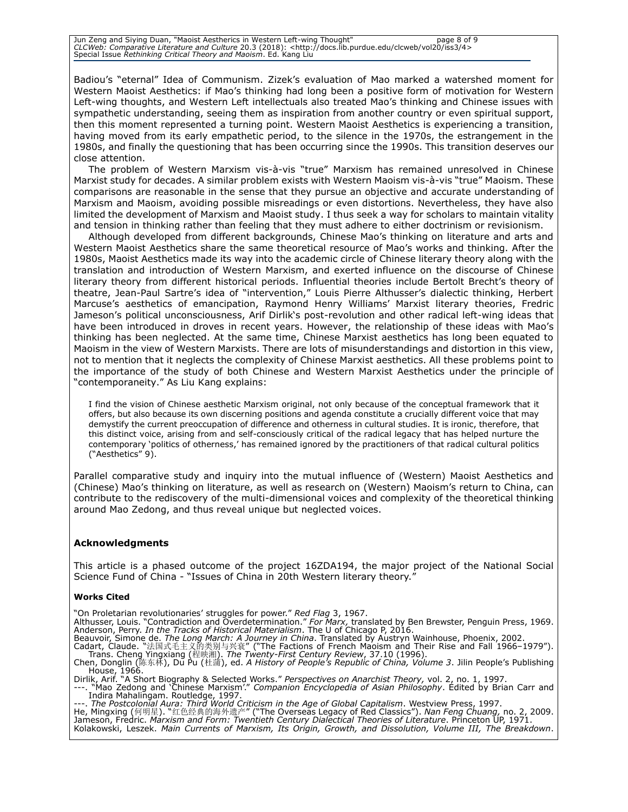Jun Zeng and Siying Duan, "Maoist Aestherics in Western Left-wing Thought"<br>CLCWeb: Comparative Literature and Culture 20.3 (2018): <http://docs.lib.purdue.edu/clcweb/vol20/iss3/4><br>Special Issue *Rethinking Critical Theory* 

Badiou's "eternal" Idea of Communism. Zizek's evaluation of Mao marked a watershed moment for Western Maoist Aesthetics: if Mao's thinking had long been a positive form of motivation for Western Left-wing thoughts, and Western Left intellectuals also treated Mao's thinking and Chinese issues with sympathetic understanding, seeing them as inspiration from another country or even spiritual support, then this moment represented a turning point. Western Maoist Aesthetics is experiencing a transition, having moved from its early empathetic period, to the silence in the 1970s, the estrangement in the 1980s, and finally the questioning that has been occurring since the 1990s. This transition deserves our close attention.

The problem of Western Marxism vis-à-vis "true" Marxism has remained unresolved in Chinese Marxist study for decades. A similar problem exists with Western Maoism vis-à-vis "true" Maoism. These comparisons are reasonable in the sense that they pursue an objective and accurate understanding of Marxism and Maoism, avoiding possible misreadings or even distortions. Nevertheless, they have also limited the development of Marxism and Maoist study. I thus seek a way for scholars to maintain vitality and tension in thinking rather than feeling that they must adhere to either doctrinism or revisionism.

Although developed from different backgrounds, Chinese Mao's thinking on literature and arts and Western Maoist Aesthetics share the same theoretical resource of Mao's works and thinking. After the 1980s, Maoist Aesthetics made its way into the academic circle of Chinese literary theory along with the translation and introduction of Western Marxism, and exerted influence on the discourse of Chinese literary theory from different historical periods. Influential theories include Bertolt Brecht's theory of theatre, Jean-Paul Sartre's idea of "intervention," Louis Pierre Althusser's dialectic thinking, Herbert Marcuse's aesthetics of emancipation, Raymond Henry Williams' Marxist literary theories, Fredric Jameson's political unconsciousness, Arif Dirlik's post-revolution and other radical left-wing ideas that have been introduced in droves in recent years. However, the relationship of these ideas with Mao's thinking has been neglected. At the same time, Chinese Marxist aesthetics has long been equated to Maoism in the view of Western Marxists. There are lots of misunderstandings and distortion in this view, not to mention that it neglects the complexity of Chinese Marxist aesthetics. All these problems point to the importance of the study of both Chinese and Western Marxist Aesthetics under the principle of "contemporaneity." As Liu Kang explains:

I find the vision of Chinese aesthetic Marxism original, not only because of the conceptual framework that it offers, but also because its own discerning positions and agenda constitute a crucially different voice that may demystify the current preoccupation of difference and otherness in cultural studies. It is ironic, therefore, that this distinct voice, arising from and self-consciously critical of the radical legacy that has helped nurture the contemporary 'politics of otherness,' has remained ignored by the practitioners of that radical cultural politics ("Aesthetics" 9).

Parallel comparative study and inquiry into the mutual influence of (Western) Maoist Aesthetics and (Chinese) Mao's thinking on literature, as well as research on (Western) Maoism's return to China, can contribute to the rediscovery of the multi-dimensional voices and complexity of the theoretical thinking around Mao Zedong, and thus reveal unique but neglected voices.

#### **Acknowledgments**

This article is a phased outcome of the project 16ZDA194, the major project of the National Social Science Fund of China - "Issues of China in 20th Western literary theory."

#### **Works Cited**

"On Proletarian revolutionaries' struggles for power." *Red Flag* 3, 1967.

Althusser, Louis. "Contradiction and Overdetermination." *For Marx,* translated by Ben Brewster, Penguin Press, 1969. Anderson, Perry. *In the Tracks of Historical Materialism*. The U of Chicago P, 2016.

Beauvoir, Simone de. *The Long March: A Journey in China*. Translated by Austryn Wainhouse, Phoenix, 2002. Cadart, Claude. "法国式毛主义的类别与兴衰" ("The Factions of French Maoism and Their Rise and Fall 1966–1979"). Trans. Cheng Yingxiang (程映湘). *The Twenty-First Century Review*, 37.10 (1996). Chen, Donglin (陈东林), Du Pu (杜蒲), ed. *A History of People's Republic of China, Volume 3*. Jilin People's Publishing

House, 1966.

Dirlik, Arif. "A Short Biography & Selected Works." *Perspectives on Anarchist Theory,* vol. 2, no. 1, 1997. ---. "Mao Zedong and 'Chinese Marxism'." *Companion Encyclopedia of Asian Philosophy*. Edited by Brian Carr and

Indira Mahalingam. Routledge, 1997.

---. *The Postcolonial Aura: Third World Criticism in the Age of Global Capitalism*. Westview Press, 1997.

He, Mingxing (何明星). "红色经典的海外遗产" ("The Overseas Legacy of Red Classics"). *Nan Feng Chuang,* no. 2, 2009. Jameson, Fredric. *Marxism and Form: Twentieth Century Dialectical Theories of Literature*. Princeton UP, 1971. Kolakowski, Leszek. *Main Currents of Marxism, Its Origin, Growth, and Dissolution, Volume III, The Breakdown*.